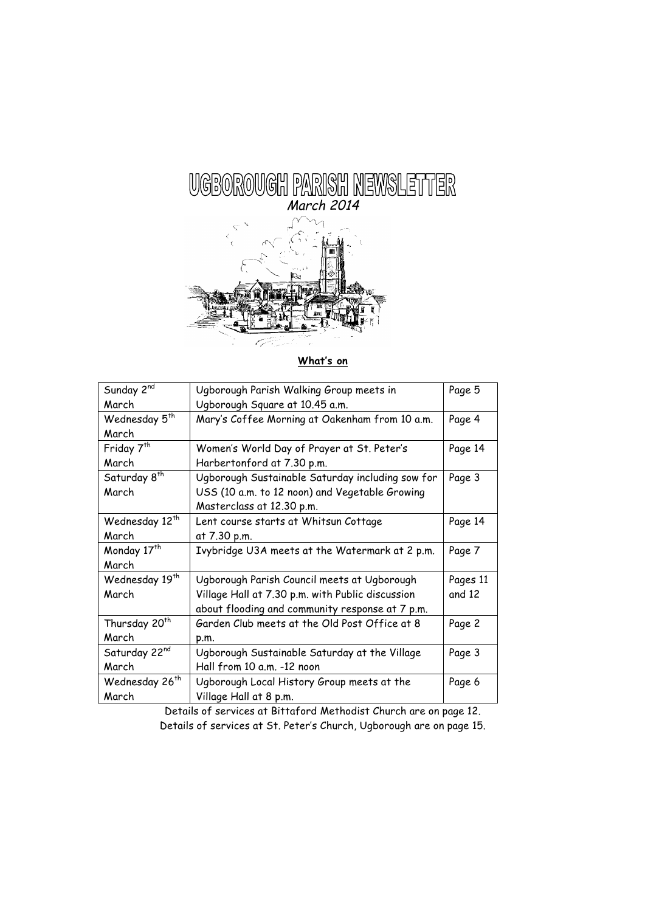

**What's on**

| Sunday 2 <sup>nd</sup>     | Ugborough Parish Walking Group meets in          | Page 5   |
|----------------------------|--------------------------------------------------|----------|
| March                      | Ugborough Square at 10.45 a.m.                   |          |
| Wednesday 5 <sup>th</sup>  | Mary's Coffee Morning at Oakenham from 10 a.m.   | Page 4   |
| March                      |                                                  |          |
| Friday 7 <sup>th</sup>     | Women's World Day of Prayer at St. Peter's       | Page 14  |
| March                      | Harbertonford at 7.30 p.m.                       |          |
| Saturday 8 <sup>th</sup>   | Ugborough Sustainable Saturday including sow for | Page 3   |
| March                      | USS (10 a.m. to 12 noon) and Vegetable Growing   |          |
|                            | Masterclass at 12.30 p.m.                        |          |
| Wednesday 12 <sup>th</sup> | Lent course starts at Whitsun Cottage            | Page 14  |
| March                      | at 7.30 p.m.                                     |          |
| Monday 17 <sup>th</sup>    | Ivybridge U3A meets at the Watermark at 2 p.m.   | Page 7   |
| March                      |                                                  |          |
| Wednesday 19th             | Ugborough Parish Council meets at Ugborough      | Pages 11 |
| March                      | Village Hall at 7.30 p.m. with Public discussion | and 12   |
|                            | about flooding and community response at 7 p.m.  |          |
| Thursday 20 <sup>th</sup>  | Garden Club meets at the Old Post Office at 8    | Page 2   |
| March                      | p.m.                                             |          |
| Saturday 22nd              | Ugborough Sustainable Saturday at the Village    | Page 3   |
| March                      | Hall from 10 a.m. -12 noon                       |          |
| Wednesday 26 <sup>th</sup> | Ugborough Local History Group meets at the       | Page 6   |
| March                      | Village Hall at 8 p.m.                           |          |

Details of services at Bittaford Methodist Church are on page 12. Details of services at St. Peter's Church, Ugborough are on page 15.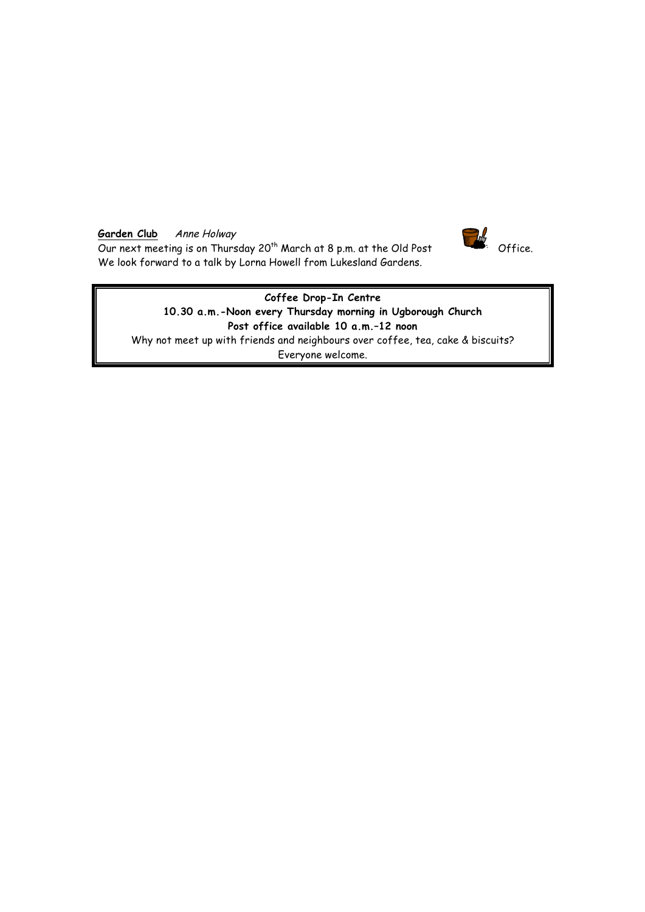# Garden Club Anne Holway

Garden Club Anne Holway<br>Our next meeting is on Thursday 20<sup>th</sup> March at 8 p.m. at the Old Post Office. We look forward to a talk by Lorna Howell from Lukesland Gardens.



**Coffee Drop-In Centre 10.30 a.m.-Noon every Thursday morning in Ugborough Church Post office available 10 a.m.–12 noon** Why not meet up with friends and neighbours over coffee, tea, cake & biscuits? Everyone welcome.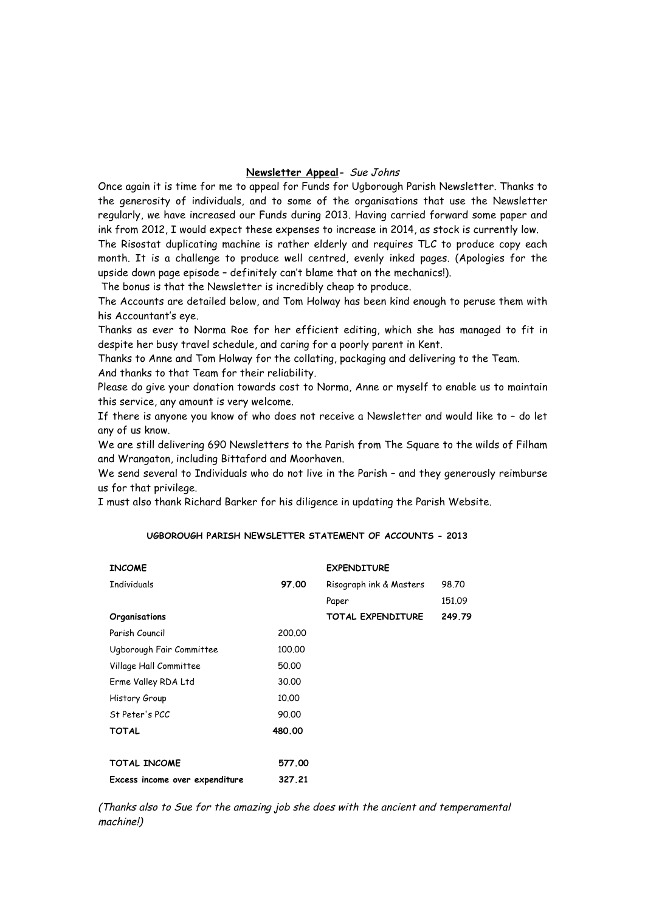### **Newsletter Appeal-** Sue Johns

Once again it is time for me to appeal for Funds for Ugborough Parish Newsletter. Thanks to the generosity of individuals, and to some of the organisations that use the Newsletter regularly, we have increased our Funds during 2013. Having carried forward some paper and ink from 2012, I would expect these expenses to increase in 2014, as stock is currently low. The Risostat duplicating machine is rather elderly and requires TLC to produce copy each month. It is a challenge to produce well centred, evenly inked pages. (Apologies for the upside down page episode – definitely can't blame that on the mechanics!).

The bonus is that the Newsletter is incredibly cheap to produce.

The Accounts are detailed below, and Tom Holway has been kind enough to peruse them with his Accountant's eye.

Thanks as ever to Norma Roe for her efficient editing, which she has managed to fit in despite her busy travel schedule, and caring for a poorly parent in Kent.

Thanks to Anne and Tom Holway for the collating, packaging and delivering to the Team. And thanks to that Team for their reliability.

Please do give your donation towards cost to Norma, Anne or myself to enable us to maintain this service, any amount is very welcome.

If there is anyone you know of who does not receive a Newsletter and would like to – do let any of us know.

We are still delivering 690 Newsletters to the Parish from The Square to the wilds of Filham and Wrangaton, including Bittaford and Moorhaven.

We send several to Individuals who do not live in the Parish – and they generously reimburse us for that privilege.

I must also thank Richard Barker for his diligence in updating the Parish Website.

#### **UGBOROUGH PARISH NEWSLETTER STATEMENT OF ACCOUNTS - 2013**

| <b>INCOME</b>                  |        | <b>EXPENDITURE</b>       |        |
|--------------------------------|--------|--------------------------|--------|
| <b>Individuals</b>             | 97.00  | Risograph ink & Masters  | 98.70  |
|                                |        | Paper                    | 151.09 |
| Organisations                  |        | <b>TOTAL EXPENDITURE</b> | 249.79 |
| Parish Council                 | 200.00 |                          |        |
| Ugborough Fair Committee       | 100,00 |                          |        |
| Village Hall Committee         | 50.00  |                          |        |
| Erme Valley RDA Ltd            | 30.00  |                          |        |
| History Group                  | 10.00  |                          |        |
| St Peter's PCC                 | 90.00  |                          |        |
| <b>TOTAL</b>                   | 480.00 |                          |        |
|                                |        |                          |        |
| TOTAL INCOME                   | 577.00 |                          |        |
| Excess income over expenditure | 327.21 |                          |        |

(Thanks also to Sue for the amazing job she does with the ancient and temperamental machine!)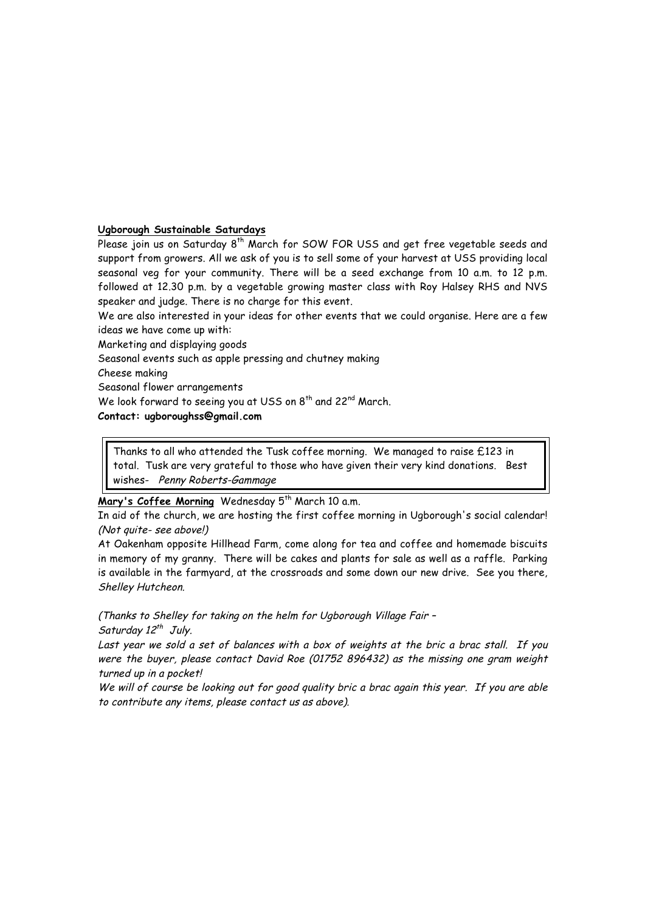# **Ugborough Sustainable Saturdays**

Please join us on Saturday 8<sup>th</sup> March for SOW FOR USS and get free vegetable seeds and support from growers. All we ask of you is to sell some of your harvest at USS providing local seasonal veg for your community. There will be a seed exchange from 10 a.m. to 12 p.m. followed at 12.30 p.m. by a vegetable growing master class with Roy Halsey RHS and NVS speaker and judge. There is no charge for this event.

We are also interested in your ideas for other events that we could organise. Here are a few ideas we have come up with:

Marketing and displaying goods

Seasonal events such as apple pressing and chutney making

Cheese making

Seasonal flower arrangements

We look forward to seeing you at USS on 8<sup>th</sup> and 22<sup>nd</sup> March.

#### **Contact: ugboroughss@gmail.com**

Thanks to all who attended the Tusk coffee morning. We managed to raise £123 in total. Tusk are very grateful to those who have given their very kind donations. Best wishes- Penny Roberts-Gammage

# Mary's Coffee Morning Wednesday 5<sup>th</sup> March 10 a.m.

In aid of the church, we are hosting the first coffee morning in Ugborough's social calendar! (Not quite- see above!)

At Oakenham opposite Hillhead Farm, come along for tea and coffee and homemade biscuits in memory of my granny. There will be cakes and plants for sale as well as a raffle. Parking is available in the farmyard, at the crossroads and some down our new drive. See you there, Shelley Hutcheon.

(Thanks to Shelley for taking on the helm for Ugborough Village Fair – Saturday  $12^{th}$  July.

Last year we sold a set of balances with a box of weights at the bric a brac stall. If you were the buyer, please contact David Roe (01752 896432) as the missing one gram weight turned up in a pocket!

We will of course be looking out for good quality bric a brac again this year. If you are able to contribute any items, please contact us as above).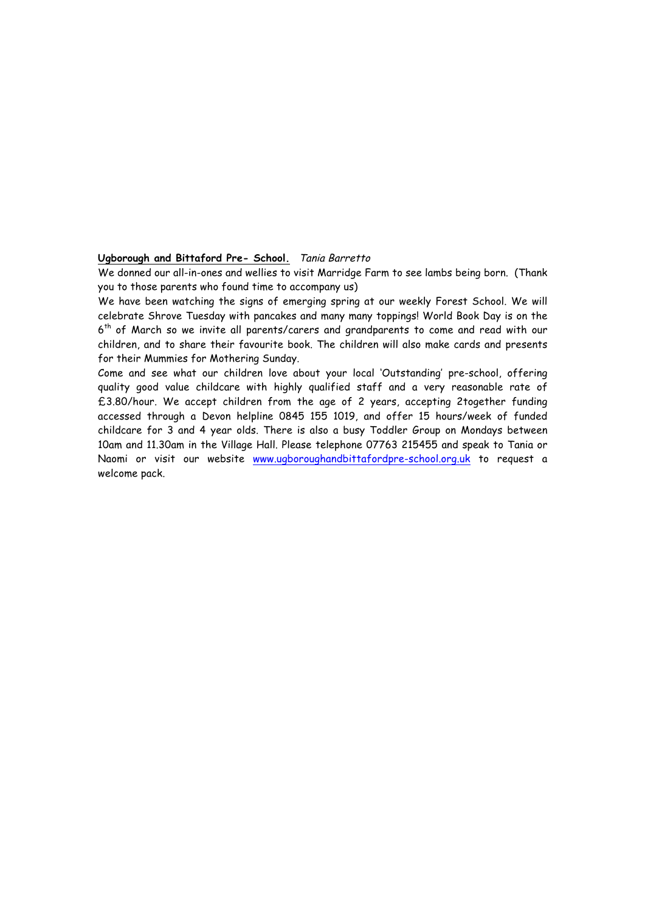#### **Ugborough and Bittaford Pre- School.** Tania Barretto

We donned our all-in-ones and wellies to visit Marridge Farm to see lambs being born. (Thank you to those parents who found time to accompany us)

We have been watching the signs of emerging spring at our weekly Forest School. We will celebrate Shrove Tuesday with pancakes and many many toppings! World Book Day is on the 6<sup>th</sup> of March so we invite all parents/carers and grandparents to come and read with our children, and to share their favourite book. The children will also make cards and presents for their Mummies for Mothering Sunday.

Come and see what our children love about your local 'Outstanding' pre-school, offering quality good value childcare with highly qualified staff and a very reasonable rate of £3.80/hour. We accept children from the age of 2 years, accepting 2together funding accessed through a Devon helpline 0845 155 1019, and offer 15 hours/week of funded childcare for 3 and 4 year olds. There is also a busy Toddler Group on Mondays between 10am and 11.30am in the Village Hall. Please telephone 07763 215455 and speak to Tania or Naomi or visit our website www.ugboroughandbittafordpre-school.org.uk to request a welcome pack.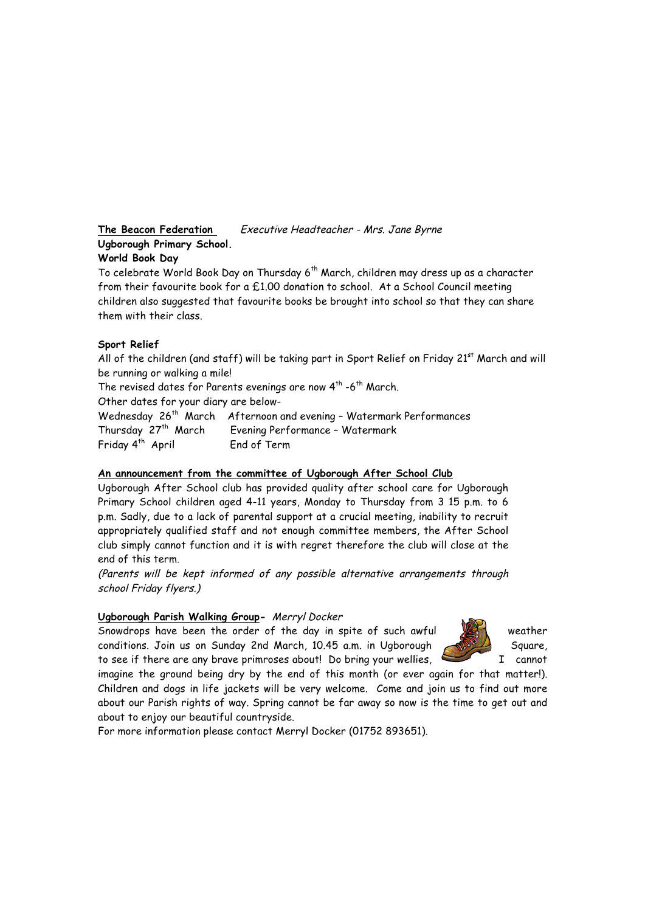**The Beacon Federation** Executive Headteacher - Mrs. Jane Byrne **Ugborough Primary School. World Book Day**

To celebrate World Book Day on Thursday 6<sup>th</sup> March, children may dress up as a character from their favourite book for a £1.00 donation to school. At a School Council meeting children also suggested that favourite books be brought into school so that they can share them with their class.

#### **Sport Relief**

All of the children (and staff) will be taking part in Sport Relief on Friday  $21<sup>st</sup>$  March and will be running or walking a mile!

The revised dates for Parents evenings are now  $4^{th}$  -6<sup>th</sup> March. Other dates for your diary are below-

Wednesday 26<sup>th</sup> March Afternoon and evening - Watermark Performances Thursday 27<sup>th</sup> March Evening Performance - Watermark Friday 4<sup>th</sup> April End of Term

#### **An announcement from the committee of Ugborough After School Club**

Ugborough After School club has provided quality after school care for Ugborough Primary School children aged 4-11 years, Monday to Thursday from 3 15 p.m. to 6 p.m. Sadly, due to a lack of parental support at a crucial meeting, inability to recruit appropriately qualified staff and not enough committee members, the After School club simply cannot function and it is with regret therefore the club will close at the end of this term.

(Parents will be kept informed of any possible alternative arrangements through school Friday flyers.)

#### **Ugborough Parish Walking Group-** Merryl Docker

Snowdrops have been the order of the day in spite of such awful weather conditions. Join us on Sunday 2nd March, 10.45 a.m. in Ugborough Square, to see if there are any brave primroses about! Do bring your wellies, I cannot



imagine the ground being dry by the end of this month (or ever again for that matter!). Children and dogs in life jackets will be very welcome. Come and join us to find out more about our Parish rights of way. Spring cannot be far away so now is the time to get out and about to enjoy our beautiful countryside.

For more information please contact Merryl Docker (01752 893651).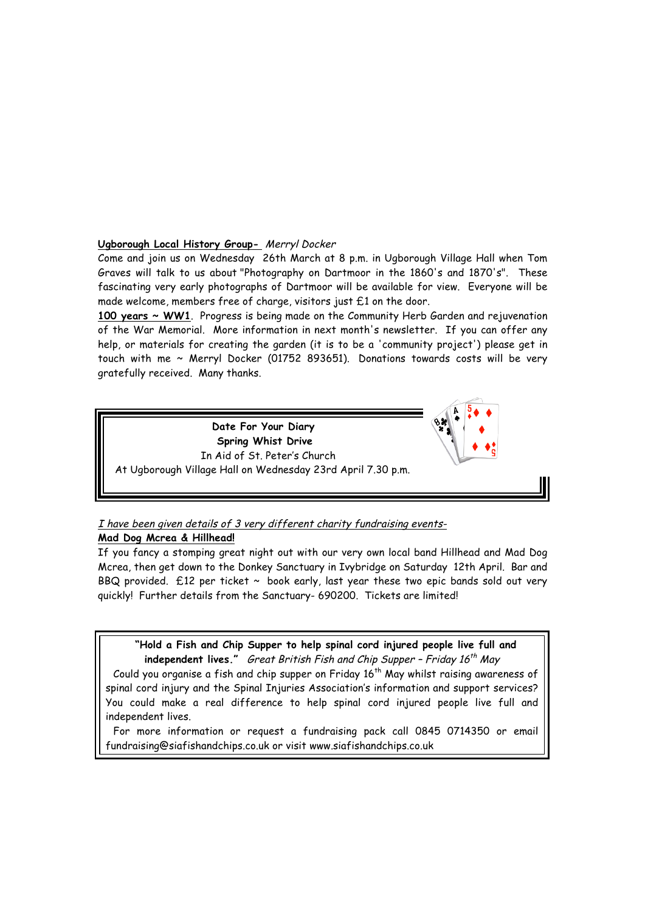## **Ugborough Local History Group-** Merryl Docker

Come and join us on Wednesday 26th March at 8 p.m. in Ugborough Village Hall when Tom Graves will talk to us about "Photography on Dartmoor in the 1860's and 1870's". These fascinating very early photographs of Dartmoor will be available for view. Everyone will be made welcome, members free of charge, visitors just £1 on the door.

**100 years ~ WW1**. Progress is being made on the Community Herb Garden and rejuvenation of the War Memorial. More information in next month's newsletter. If you can offer any help, or materials for creating the garden (it is to be a 'community project') please get in touch with me ~ Merryl Docker (01752 893651). Donations towards costs will be very gratefully received. Many thanks.



# I have been given details of 3 very different charity fundraising events-

# **Mad Dog Mcrea & Hillhead!**

If you fancy a stomping great night out with our very own local band Hillhead and Mad Dog Mcrea, then get down to the Donkey Sanctuary in Ivybridge on Saturday 12th April. Bar and BBQ provided.  $£12$  per ticket  $\sim$  book early, last year these two epic bands sold out very quickly! Further details from the Sanctuary- 690200. Tickets are limited!

**"Hold a Fish and Chip Supper to help spinal cord injured people live full and independent lives."** Great British Fish and Chip Supper - Friday 16<sup>th</sup> May Could you organise a fish and chip supper on Friday  $16<sup>th</sup>$  May whilst raising awareness of spinal cord injury and the Spinal Injuries Association's information and support services? You could make a real difference to help spinal cord injured people live full and independent lives.

For more information or request a fundraising pack call 0845 0714350 or email fundraising@siafishandchips.co.uk or visit www.siafishandchips.co.uk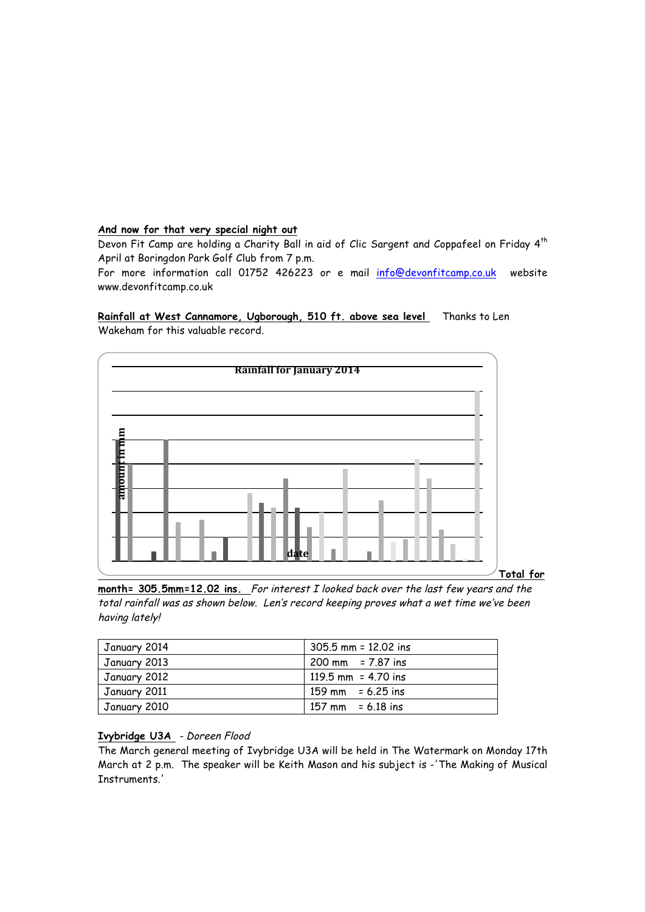#### **And now for that very special night out**

Devon Fit Camp are holding a Charity Ball in aid of Clic Sargent and Coppafeel on Friday 4<sup>th</sup> April at Boringdon Park Golf Club from 7 p.m.

For more information call 01752 426223 or e mail info@devonfitcamp.co.uk website www.devonfitcamp.co.uk

Rainfall at West Cannamore, Ugborough, 510 ft. above sea level Thanks to Len Wakeham for this valuable record.



**Total for** 

**month= 305.5mm=12.02 ins.** For interest I looked back over the last few years and the total rainfall was as shown below. Len's record keeping proves what a wet time we've been having lately!

| January 2014 | $305.5$ mm = 12.02 ins              |
|--------------|-------------------------------------|
| January 2013 | $200 \text{ mm}$ = 7.87 ins         |
| January 2012 | 119.5 mm = $4.70$ ins               |
| January 2011 | $159 \text{ mm} = 6.25 \text{ ins}$ |
| January 2010 | $157 \text{ mm} = 6.18 \text{ ins}$ |

# **Ivybridge U3A** - Doreen Flood

The March general meeting of Ivybridge U3A will be held in The Watermark on Monday 17th March at 2 p.m. The speaker will be Keith Mason and his subject is -'The Making of Musical Instruments'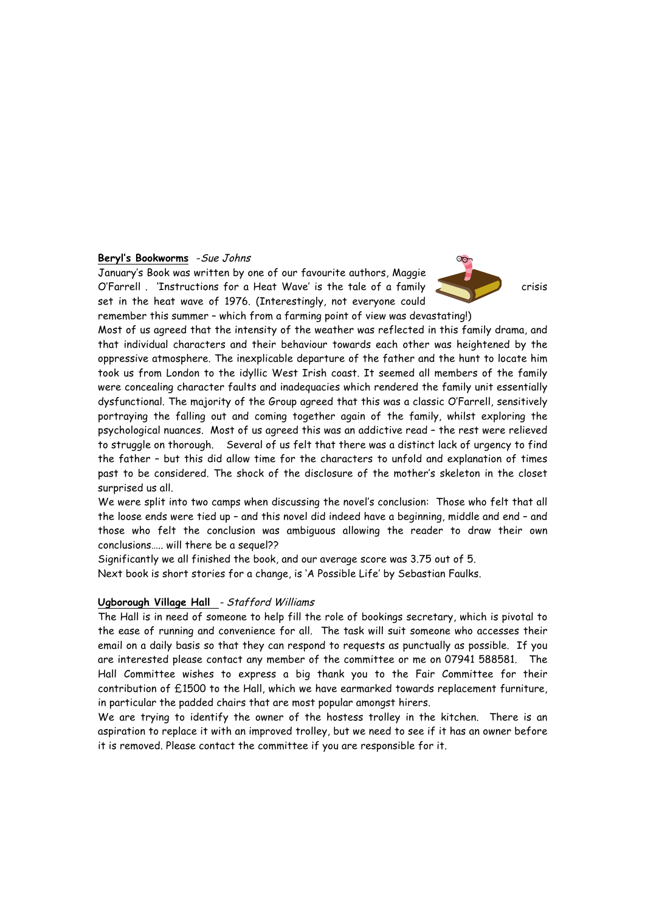#### **Beryl's Bookworms** -Sue Johns

January's Book was written by one of our favourite authors, Maggie O'Farrell . 'Instructions for a Heat Wave' is the tale of a family crisis set in the heat wave of 1976. (Interestingly, not everyone could remember this summer – which from a farming point of view was devastating!)

 $rac{1}{2}$ 

Most of us agreed that the intensity of the weather was reflected in this family drama, and that individual characters and their behaviour towards each other was heightened by the oppressive atmosphere. The inexplicable departure of the father and the hunt to locate him took us from London to the idyllic West Irish coast. It seemed all members of the family were concealing character faults and inadequacies which rendered the family unit essentially dysfunctional. The majority of the Group agreed that this was a classic O'Farrell, sensitively portraying the falling out and coming together again of the family, whilst exploring the psychological nuances. Most of us agreed this was an addictive read – the rest were relieved to struggle on thorough. Several of us felt that there was a distinct lack of urgency to find the father – but this did allow time for the characters to unfold and explanation of times past to be considered. The shock of the disclosure of the mother's skeleton in the closet surprised us all.

We were split into two camps when discussing the novel's conclusion: Those who felt that all the loose ends were tied up – and this novel did indeed have a beginning, middle and end – and those who felt the conclusion was ambiguous allowing the reader to draw their own conclusions….. will there be a sequel??

Significantly we all finished the book, and our average score was 3.75 out of 5.

Next book is short stories for a change, is 'A Possible Life' by Sebastian Faulks.

# **Ugborough Village Hall** - Stafford Williams

The Hall is in need of someone to help fill the role of bookings secretary, which is pivotal to the ease of running and convenience for all. The task will suit someone who accesses their email on a daily basis so that they can respond to requests as punctually as possible. If you are interested please contact any member of the committee or me on 07941 588581. The Hall Committee wishes to express a big thank you to the Fair Committee for their contribution of £1500 to the Hall, which we have earmarked towards replacement furniture, in particular the padded chairs that are most popular amongst hirers.

We are trying to identify the owner of the hostess trolley in the kitchen. There is an aspiration to replace it with an improved trolley, but we need to see if it has an owner before it is removed. Please contact the committee if you are responsible for it.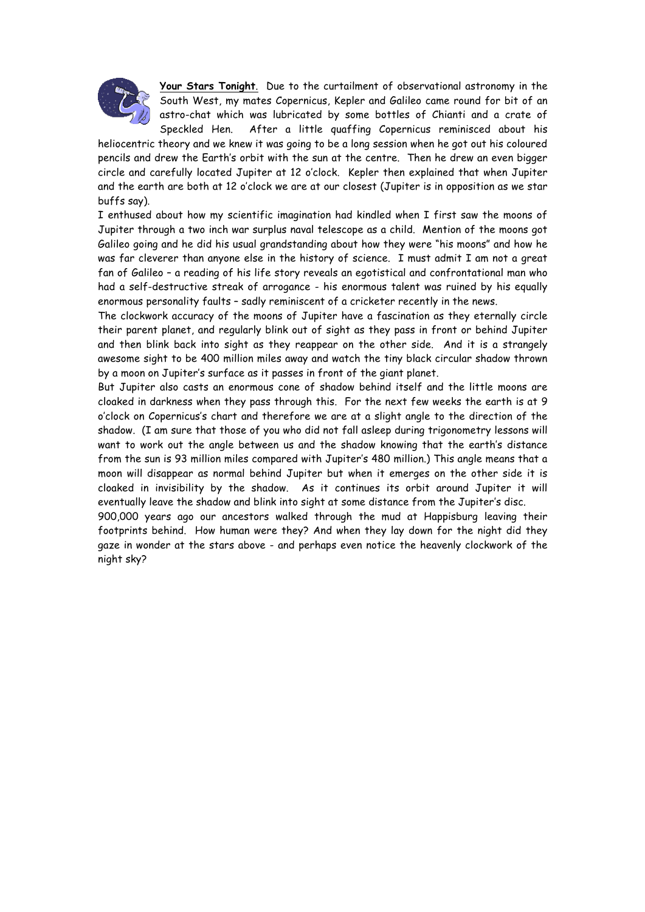

**Your Stars Tonight**. Due to the curtailment of observational astronomy in the South West, my mates Copernicus, Kepler and Galileo came round for bit of an astro-chat which was lubricated by some bottles of Chianti and a crate of Speckled Hen. After a little quaffing Copernicus reminisced about his

heliocentric theory and we knew it was going to be a long session when he got out his coloured pencils and drew the Earth's orbit with the sun at the centre. Then he drew an even bigger circle and carefully located Jupiter at 12 o'clock. Kepler then explained that when Jupiter and the earth are both at 12 o'clock we are at our closest (Jupiter is in opposition as we star buffs say).

I enthused about how my scientific imagination had kindled when I first saw the moons of Jupiter through a two inch war surplus naval telescope as a child. Mention of the moons got Galileo going and he did his usual grandstanding about how they were "his moons" and how he was far cleverer than anyone else in the history of science. I must admit I am not a great fan of Galileo – a reading of his life story reveals an egotistical and confrontational man who had a self-destructive streak of arrogance - his enormous talent was ruined by his equally enormous personality faults – sadly reminiscent of a cricketer recently in the news.

The clockwork accuracy of the moons of Jupiter have a fascination as they eternally circle their parent planet, and regularly blink out of sight as they pass in front or behind Jupiter and then blink back into sight as they reappear on the other side. And it is a strangely awesome sight to be 400 million miles away and watch the tiny black circular shadow thrown by a moon on Jupiter's surface as it passes in front of the giant planet.

But Jupiter also casts an enormous cone of shadow behind itself and the little moons are cloaked in darkness when they pass through this. For the next few weeks the earth is at 9 o'clock on Copernicus's chart and therefore we are at a slight angle to the direction of the shadow. (I am sure that those of you who did not fall asleep during trigonometry lessons will want to work out the angle between us and the shadow knowing that the earth's distance from the sun is 93 million miles compared with Jupiter's 480 million.) This angle means that a moon will disappear as normal behind Jupiter but when it emerges on the other side it is cloaked in invisibility by the shadow. As it continues its orbit around Jupiter it will eventually leave the shadow and blink into sight at some distance from the Jupiter's disc.

900,000 years ago our ancestors walked through the mud at Happisburg leaving their footprints behind. How human were they? And when they lay down for the night did they gaze in wonder at the stars above - and perhaps even notice the heavenly clockwork of the night sky?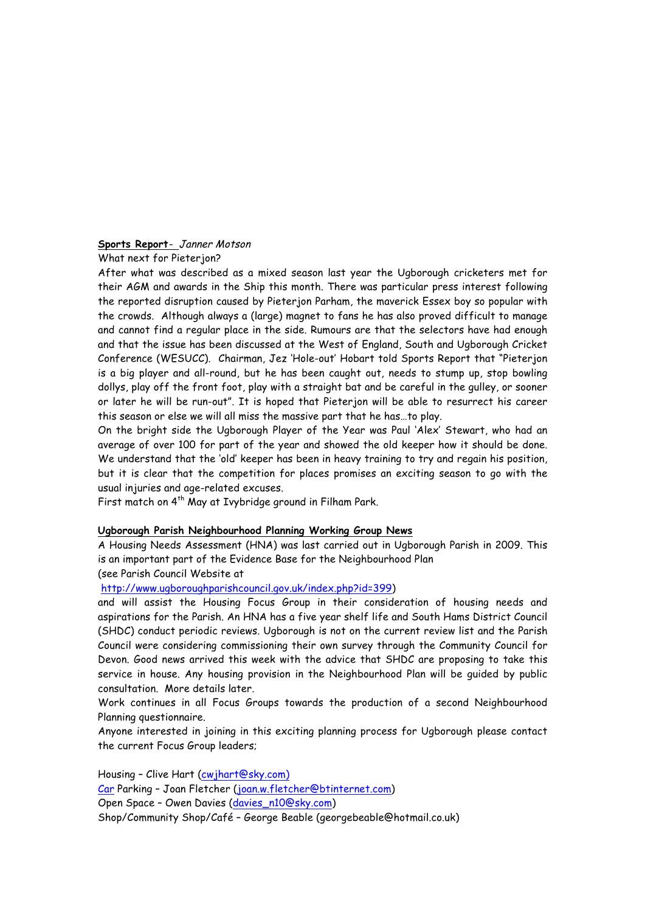# **Sports Report**- Janner Motson

What next for Pieterion?

After what was described as a mixed season last year the Ugborough cricketers met for their AGM and awards in the Ship this month. There was particular press interest following the reported disruption caused by Pieterjon Parham, the maverick Essex boy so popular with the crowds. Although always a (large) magnet to fans he has also proved difficult to manage and cannot find a regular place in the side. Rumours are that the selectors have had enough and that the issue has been discussed at the West of England, South and Ugborough Cricket Conference (WESUCC). Chairman, Jez 'Hole-out' Hobart told Sports Report that "Pieterjon is a big player and all-round, but he has been caught out, needs to stump up, stop bowling dollys, play off the front foot, play with a straight bat and be careful in the gulley, or sooner or later he will be run-out". It is hoped that Pieterjon will be able to resurrect his career this season or else we will all miss the massive part that he has…to play.

On the bright side the Ugborough Player of the Year was Paul 'Alex' Stewart, who had an average of over 100 for part of the year and showed the old keeper how it should be done. We understand that the 'old' keeper has been in heavy training to try and regain his position, but it is clear that the competition for places promises an exciting season to go with the usual injuries and age-related excuses.

First match on 4<sup>th</sup> May at Ivybridge ground in Filham Park.

#### **Ugborough Parish Neighbourhood Planning Working Group News**

A Housing Needs Assessment (HNA) was last carried out in Ugborough Parish in 2009. This is an important part of the Evidence Base for the Neighbourhood Plan

(see Parish Council Website at

http://www.ugboroughparishcouncil.gov.uk/index.php?id=399)

and will assist the Housing Focus Group in their consideration of housing needs and aspirations for the Parish. An HNA has a five year shelf life and South Hams District Council (SHDC) conduct periodic reviews. Ugborough is not on the current review list and the Parish Council were considering commissioning their own survey through the Community Council for Devon. Good news arrived this week with the advice that SHDC are proposing to take this service in house. Any housing provision in the Neighbourhood Plan will be guided by public consultation. More details later.

Work continues in all Focus Groups towards the production of a second Neighbourhood Planning questionnaire.

Anyone interested in joining in this exciting planning process for Ugborough please contact the current Focus Group leaders;

Housing – Clive Hart (cwjhart@sky.com) Car Parking – Joan Fletcher (joan.w.fletcher@btinternet.com) Open Space – Owen Davies (davies\_n10@sky.com) Shop/Community Shop/Café – George Beable (georgebeable@hotmail.co.uk)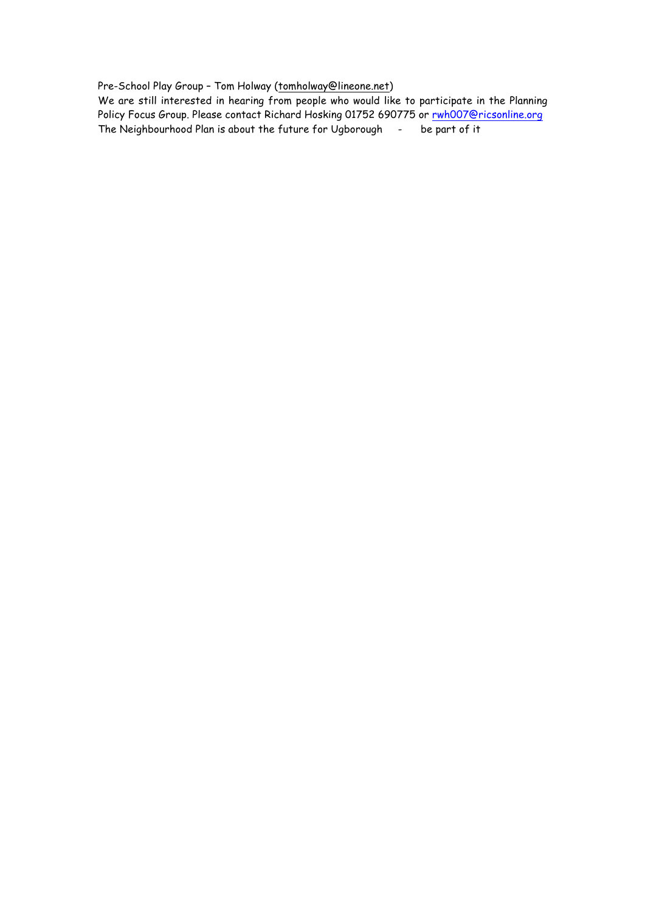Pre-School Play Group – Tom Holway (tomholway@lineone.net)

We are still interested in hearing from people who would like to participate in the Planning Policy Focus Group. Please contact Richard Hosking 01752 690775 or rwh007@ricsonline.org The Neighbourhood Plan is about the future for Ugborough - be part of it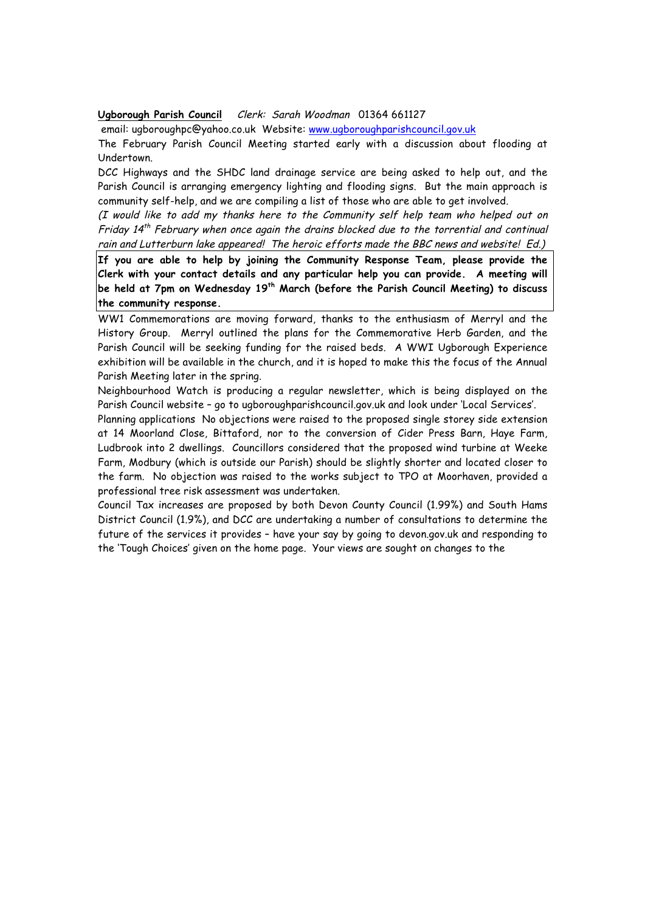#### **Ugborough Parish Council** Clerk: Sarah Woodman 01364 661127

email: ugboroughpc@yahoo.co.uk Website: www.ugboroughparishcouncil.gov.uk

The February Parish Council Meeting started early with a discussion about flooding at Undertown.

DCC Highways and the SHDC land drainage service are being asked to help out, and the Parish Council is arranging emergency lighting and flooding signs. But the main approach is community self-help, and we are compiling a list of those who are able to get involved.

(I would like to add my thanks here to the Community self help team who helped out on Friday  $14<sup>th</sup>$  February when once again the drains blocked due to the torrential and continual rain and Lutterburn lake appeared! The heroic efforts made the BBC news and website! Ed.)

**If you are able to help by joining the Community Response Team, please provide the Clerk with your contact details and any particular help you can provide. A meeting will be held at 7pm on Wednesday 19th March (before the Parish Council Meeting) to discuss the community response.** 

WW1 Commemorations are moving forward, thanks to the enthusiasm of Merryl and the History Group. Merryl outlined the plans for the Commemorative Herb Garden, and the Parish Council will be seeking funding for the raised beds. A WWI Ugborough Experience exhibition will be available in the church, and it is hoped to make this the focus of the Annual Parish Meeting later in the spring.

Neighbourhood Watch is producing a regular newsletter, which is being displayed on the Parish Council website – go to ugboroughparishcouncil.gov.uk and look under 'Local Services'.

Planning applications No objections were raised to the proposed single storey side extension at 14 Moorland Close, Bittaford, nor to the conversion of Cider Press Barn, Haye Farm, Ludbrook into 2 dwellings. Councillors considered that the proposed wind turbine at Weeke Farm, Modbury (which is outside our Parish) should be slightly shorter and located closer to the farm. No objection was raised to the works subject to TPO at Moorhaven, provided a professional tree risk assessment was undertaken.

Council Tax increases are proposed by both Devon County Council (1.99%) and South Hams District Council (1.9%), and DCC are undertaking a number of consultations to determine the future of the services it provides – have your say by going to devon.gov.uk and responding to the 'Tough Choices' given on the home page. Your views are sought on changes to the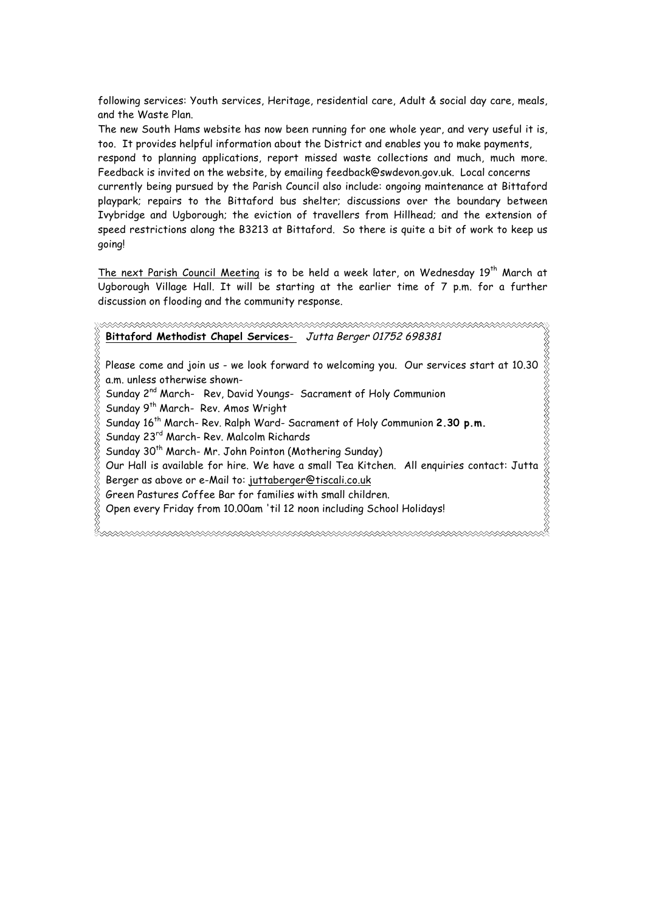following services: Youth services, Heritage, residential care, Adult & social day care, meals, and the Waste Plan.

The new South Hams website has now been running for one whole year, and very useful it is, too. It provides helpful information about the District and enables you to make payments,

respond to planning applications, report missed waste collections and much, much more. Feedback is invited on the website, by emailing feedback@swdevon.gov.uk. Local concerns

currently being pursued by the Parish Council also include: ongoing maintenance at Bittaford playpark; repairs to the Bittaford bus shelter; discussions over the boundary between Ivybridge and Ugborough; the eviction of travellers from Hillhead; and the extension of speed restrictions along the B3213 at Bittaford. So there is quite a bit of work to keep us going!

The next Parish Council Meeting is to be held a week later, on Wednesday 19<sup>th</sup> March at Ugborough Village Hall. It will be starting at the earlier time of 7 p.m. for a further discussion on flooding and the community response.

**Bittaford Methodist Chapel Services**- Jutta Berger 01752 698381

REAR TO THE STATE OF THE STATE OF THE STATE OF THE STATE OF THE STATE OF THE STATE OF THE STATE OF THE STATE O Please come and join us - we look forward to welcoming you. Our services start at 10.30 a.m. unless otherwise shown-

Sunday 2<sup>nd</sup> March- Rev, David Youngs- Sacrament of Holy Communion

Sunday 9<sup>th</sup> March- Rev. Amos Wright

Sunday 16<sup>th</sup> March- Rev. Ralph Ward- Sacrament of Holy Communion 2.30 p.m.

Sunday 23rd March- Rev. Malcolm Richards

Sunday 30<sup>th</sup> March- Mr. John Pointon (Mothering Sunday)

Our Hall is available for hire. We have a small Tea Kitchen. All enquiries contact: Jutta Berger as above or e-Mail to: juttaberger@tiscali.co.uk

Green Pastures Coffee Bar for families with small children.

Open every Friday from 10.00am 'til 12 noon including School Holidays!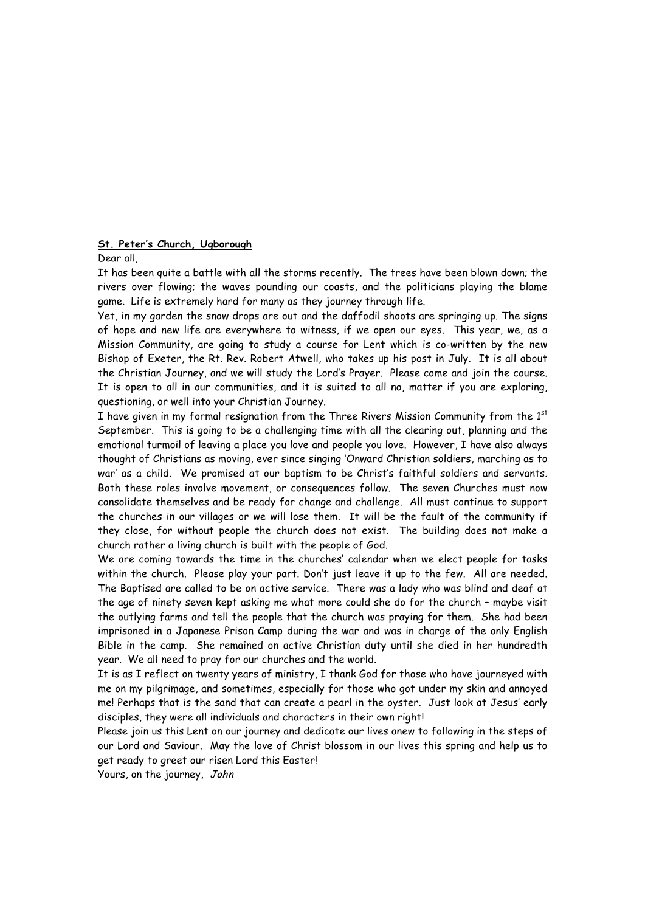## **St. Peter's Church, Ugborough**

Dear all,

It has been quite a battle with all the storms recently. The trees have been blown down; the rivers over flowing; the waves pounding our coasts, and the politicians playing the blame game. Life is extremely hard for many as they journey through life.

Yet, in my garden the snow drops are out and the daffodil shoots are springing up. The signs of hope and new life are everywhere to witness, if we open our eyes. This year, we, as a Mission Community, are going to study a course for Lent which is co-written by the new Bishop of Exeter, the Rt. Rev. Robert Atwell, who takes up his post in July. It is all about the Christian Journey, and we will study the Lord's Prayer. Please come and join the course. It is open to all in our communities, and it is suited to all no, matter if you are exploring, questioning, or well into your Christian Journey.

I have given in my formal resignation from the Three Rivers Mission Community from the  $1<sup>st</sup>$ September. This is going to be a challenging time with all the clearing out, planning and the emotional turmoil of leaving a place you love and people you love. However, I have also always thought of Christians as moving, ever since singing 'Onward Christian soldiers, marching as to war' as a child. We promised at our baptism to be Christ's faithful soldiers and servants. Both these roles involve movement, or consequences follow. The seven Churches must now consolidate themselves and be ready for change and challenge. All must continue to support the churches in our villages or we will lose them. It will be the fault of the community if they close, for without people the church does not exist. The building does not make a church rather a living church is built with the people of God.

We are coming towards the time in the churches' calendar when we elect people for tasks within the church. Please play your part. Don't just leave it up to the few. All are needed. The Baptised are called to be on active service. There was a lady who was blind and deaf at the age of ninety seven kept asking me what more could she do for the church – maybe visit the outlying farms and tell the people that the church was praying for them. She had been imprisoned in a Japanese Prison Camp during the war and was in charge of the only English Bible in the camp. She remained on active Christian duty until she died in her hundredth year. We all need to pray for our churches and the world.

It is as I reflect on twenty years of ministry, I thank God for those who have journeyed with me on my pilgrimage, and sometimes, especially for those who got under my skin and annoyed me! Perhaps that is the sand that can create a pearl in the oyster. Just look at Jesus' early disciples, they were all individuals and characters in their own right!

Please join us this Lent on our journey and dedicate our lives anew to following in the steps of our Lord and Saviour. May the love of Christ blossom in our lives this spring and help us to get ready to greet our risen Lord this Easter!

Yours, on the journey, John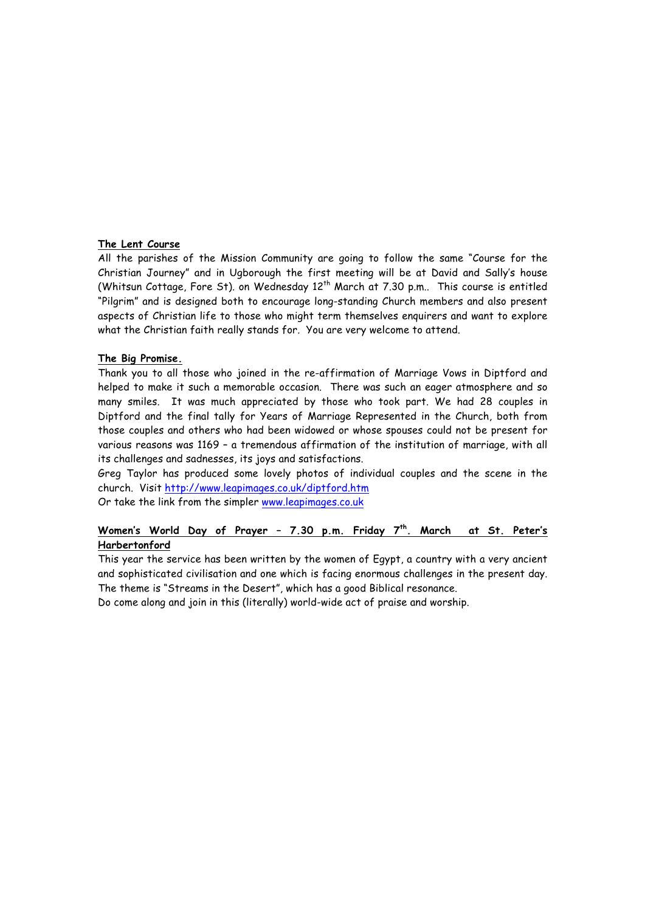#### **The Lent Course**

All the parishes of the Mission Community are going to follow the same "Course for the Christian Journey" and in Ugborough the first meeting will be at David and Sally's house (Whitsun Cottage, Fore St). on Wednesday  $12<sup>th</sup>$  March at 7.30 p.m.. This course is entitled "Pilgrim" and is designed both to encourage long-standing Church members and also present aspects of Christian life to those who might term themselves enquirers and want to explore what the Christian faith really stands for. You are very welcome to attend.

#### **The Big Promise.**

Thank you to all those who joined in the re-affirmation of Marriage Vows in Diptford and helped to make it such a memorable occasion. There was such an eager atmosphere and so many smiles. It was much appreciated by those who took part. We had 28 couples in Diptford and the final tally for Years of Marriage Represented in the Church, both from those couples and others who had been widowed or whose spouses could not be present for various reasons was 1169 – a tremendous affirmation of the institution of marriage, with all its challenges and sadnesses, its joys and satisfactions.

Greg Taylor has produced some lovely photos of individual couples and the scene in the church. Visit http://www.leapimages.co.uk/diptford.htm

Or take the link from the simpler www.leapimages.co.uk

# **Women's World Day of Prayer – 7.30 p.m. Friday 7th. March at St. Peter's Harbertonford**

This year the service has been written by the women of Egypt, a country with a very ancient and sophisticated civilisation and one which is facing enormous challenges in the present day. The theme is "Streams in the Desert", which has a good Biblical resonance.

Do come along and join in this (literally) world-wide act of praise and worship.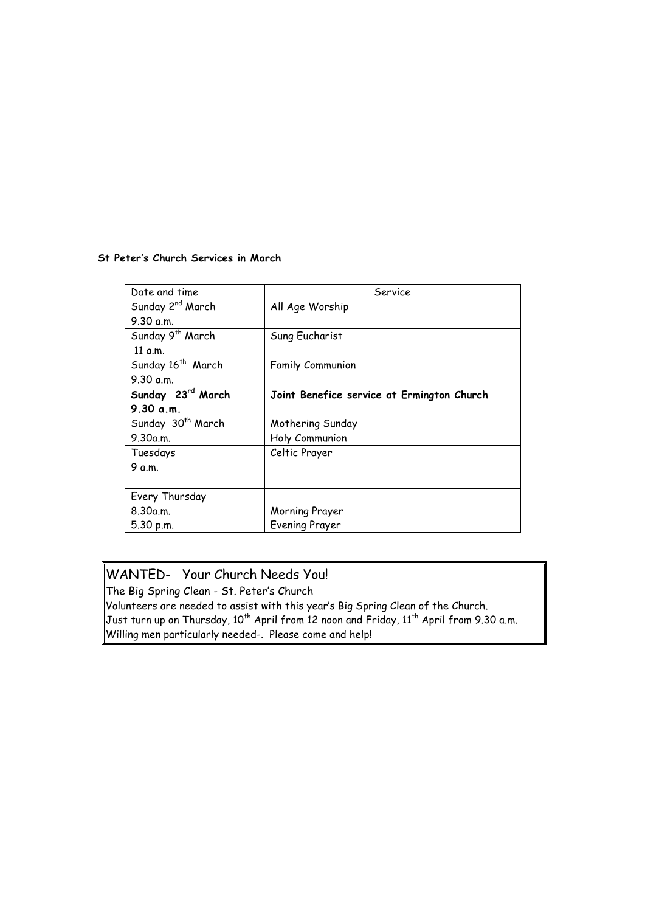# **St Peter's Church Services in March**

| Date and time                 | Service                                    |
|-------------------------------|--------------------------------------------|
| Sunday 2 <sup>nd</sup> March  | All Age Worship                            |
| 9.30 a.m.                     |                                            |
| Sunday 9 <sup>th</sup> March  | Sung Eucharist                             |
| 11 a.m.                       |                                            |
| Sunday 16 <sup>th</sup> March | <b>Family Communion</b>                    |
| 9.30 a.m.                     |                                            |
| Sunday 23rd March             | Joint Benefice service at Ermington Church |
| 9.30 a.m.                     |                                            |
| Sunday 30 <sup>th</sup> March | Mothering Sunday                           |
| 9.30a.m.                      | Holy Communion                             |
| Tuesdays                      | Celtic Prayer                              |
| 9 a.m.                        |                                            |
|                               |                                            |
| Every Thursday                |                                            |
| 8.30a.m.                      | Morning Prayer                             |
| 5.30 p.m.                     | Evening Prayer                             |

# WANTED- Your Church Needs You!

The Big Spring Clean - St. Peter's Church Volunteers are needed to assist with this year's Big Spring Clean of the Church. Just turn up on Thursday, 10<sup>th</sup> April from 12 noon and Friday, 11<sup>th</sup> April from 9.30 a.m. Willing men particularly needed-. Please come and help!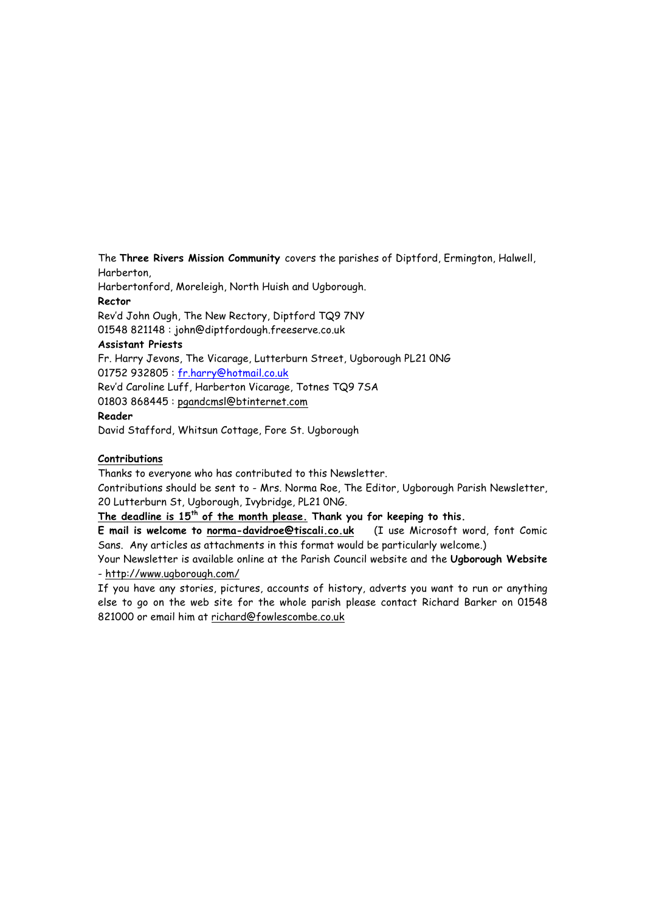The **Three Rivers Mission Community** covers the parishes of Diptford, Ermington, Halwell, Harberton,

Harbertonford, Moreleigh, North Huish and Ugborough. **Rector**

Rev'd John Ough, The New Rectory, Diptford TQ9 7NY

01548 821148 : john@diptfordough.freeserve.co.uk

# **Assistant Priests**

Fr. Harry Jevons, The Vicarage, Lutterburn Street, Ugborough PL21 0NG 01752 932805 : fr.harry@hotmail.co.uk

Rev'd Caroline Luff, Harberton Vicarage, Totnes TQ9 7SA

01803 868445 : pgandcmsl@btinternet.com

#### **Reader**

David Stafford, Whitsun Cottage, Fore St. Ugborough

# **Contributions**

Thanks to everyone who has contributed to this Newsletter.

Contributions should be sent to - Mrs. Norma Roe, The Editor, Ugborough Parish Newsletter, 20 Lutterburn St, Ugborough, Ivybridge, PL21 0NG.

# **The deadline is 15th of the month please. Thank you for keeping to this.**

**E mail is welcome to norma-davidroe@tiscali.co.uk** (I use Microsoft word, font Comic Sans. Any articles as attachments in this format would be particularly welcome.)

Your Newsletter is available online at the Parish Council website and the **Ugborough Website** - http://www.ugborough.com/

If you have any stories, pictures, accounts of history, adverts you want to run or anything else to go on the web site for the whole parish please contact Richard Barker on 01548 821000 or email him at richard@fowlescombe.co.uk